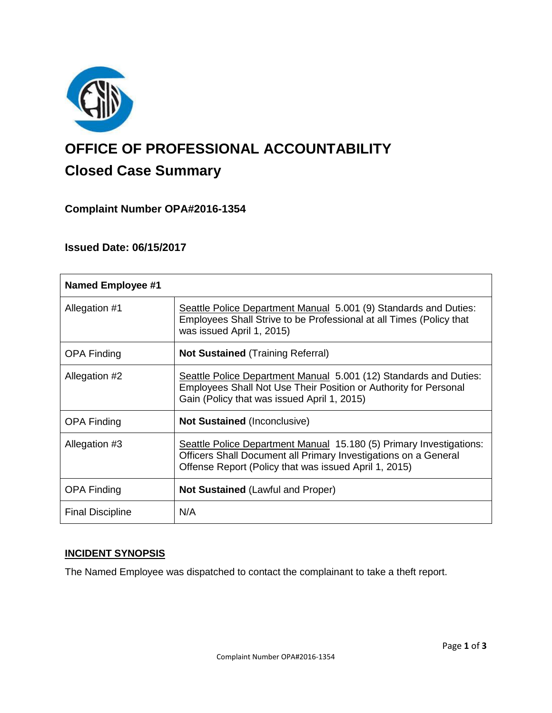

# **OFFICE OF PROFESSIONAL ACCOUNTABILITY Closed Case Summary**

# **Complaint Number OPA#2016-1354**

## **Issued Date: 06/15/2017**

| <b>Named Employee #1</b> |                                                                                                                                                                                                 |
|--------------------------|-------------------------------------------------------------------------------------------------------------------------------------------------------------------------------------------------|
| Allegation #1            | Seattle Police Department Manual 5.001 (9) Standards and Duties:<br>Employees Shall Strive to be Professional at all Times (Policy that<br>was issued April 1, 2015)                            |
| <b>OPA Finding</b>       | <b>Not Sustained</b> (Training Referral)                                                                                                                                                        |
| Allegation #2            | Seattle Police Department Manual 5.001 (12) Standards and Duties:<br>Employees Shall Not Use Their Position or Authority for Personal<br>Gain (Policy that was issued April 1, 2015)            |
| <b>OPA Finding</b>       | <b>Not Sustained (Inconclusive)</b>                                                                                                                                                             |
| Allegation #3            | Seattle Police Department Manual 15.180 (5) Primary Investigations:<br>Officers Shall Document all Primary Investigations on a General<br>Offense Report (Policy that was issued April 1, 2015) |
| <b>OPA Finding</b>       | <b>Not Sustained (Lawful and Proper)</b>                                                                                                                                                        |
| <b>Final Discipline</b>  | N/A                                                                                                                                                                                             |

# **INCIDENT SYNOPSIS**

The Named Employee was dispatched to contact the complainant to take a theft report.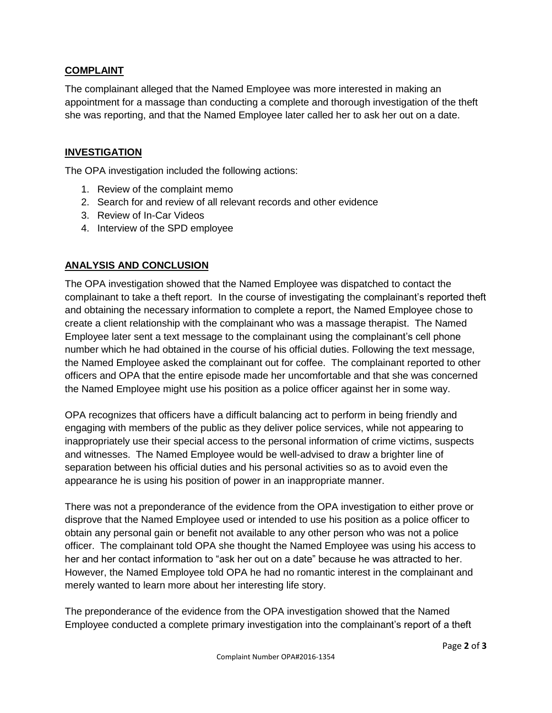## **COMPLAINT**

The complainant alleged that the Named Employee was more interested in making an appointment for a massage than conducting a complete and thorough investigation of the theft she was reporting, and that the Named Employee later called her to ask her out on a date.

## **INVESTIGATION**

The OPA investigation included the following actions:

- 1. Review of the complaint memo
- 2. Search for and review of all relevant records and other evidence
- 3. Review of In-Car Videos
- 4. Interview of the SPD employee

#### **ANALYSIS AND CONCLUSION**

The OPA investigation showed that the Named Employee was dispatched to contact the complainant to take a theft report. In the course of investigating the complainant's reported theft and obtaining the necessary information to complete a report, the Named Employee chose to create a client relationship with the complainant who was a massage therapist. The Named Employee later sent a text message to the complainant using the complainant's cell phone number which he had obtained in the course of his official duties. Following the text message, the Named Employee asked the complainant out for coffee. The complainant reported to other officers and OPA that the entire episode made her uncomfortable and that she was concerned the Named Employee might use his position as a police officer against her in some way.

OPA recognizes that officers have a difficult balancing act to perform in being friendly and engaging with members of the public as they deliver police services, while not appearing to inappropriately use their special access to the personal information of crime victims, suspects and witnesses. The Named Employee would be well-advised to draw a brighter line of separation between his official duties and his personal activities so as to avoid even the appearance he is using his position of power in an inappropriate manner.

There was not a preponderance of the evidence from the OPA investigation to either prove or disprove that the Named Employee used or intended to use his position as a police officer to obtain any personal gain or benefit not available to any other person who was not a police officer. The complainant told OPA she thought the Named Employee was using his access to her and her contact information to "ask her out on a date" because he was attracted to her. However, the Named Employee told OPA he had no romantic interest in the complainant and merely wanted to learn more about her interesting life story.

The preponderance of the evidence from the OPA investigation showed that the Named Employee conducted a complete primary investigation into the complainant's report of a theft